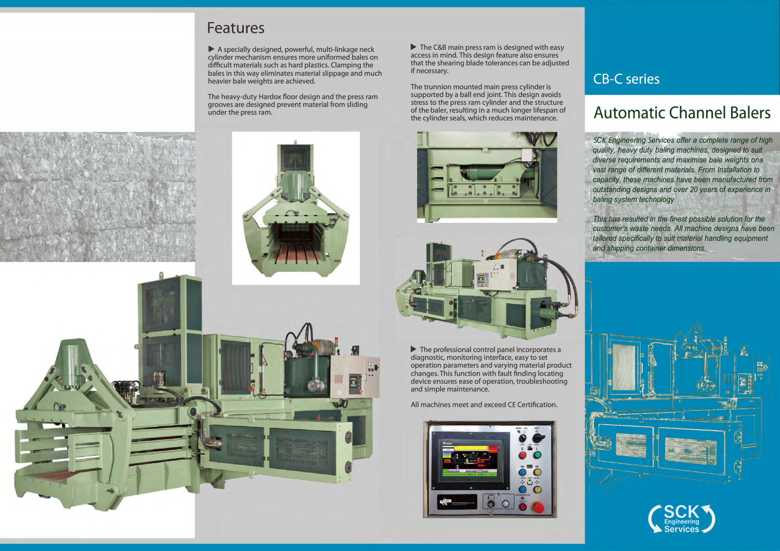## **Features**

▶ A specially designed, powerful, multi-linkage neck cylinder mechanism ensures more uniformed bales on difficult materials such as hard plastics. Clamping the bales in this way eliminates material slippage and much heavier bale weights are achieved.

 $\triangleright$  The C&B main press ram is designed with easy access in mind. This design feature also ensures that the shearing blade tolerances can be adjusted if necessary.

The heavy-duty Hardox floor design and the press ram grooves are designed prevent material from sliding under the press ram.

The trunnion mounted main press cylinder is supported by a ball end joint. This design avoids stress to the press ram cylinder and the structure of the baler, resulting in a much longer lifespan of the cylinder seals, which reduces maintenance.



diagnostic, monitoring interface, easy to set operation parameters and varying material product changes. This function with fault finding locating device ensures ease of operation, troubleshooting and simple maintenance.

All machines meet and exceed CE Certification.





## **CB-C** series

## **Automatic Channel Balers**

*SCK Engineering Services offer* a *complete range of high quality, heavy duty baling machines, designed to suit diverse requirements and maximise bale weights ona vast range of different materials. From Installation to capacity, these machines have been manufactured from outstanding designs and over.. 20 years of experience in baling system technology.* 

*This has resulted in the finest possible solution for the customer's waste needs. All machine designs have been tailored specifically to suit material handling equipment and shipping container dimensions.*